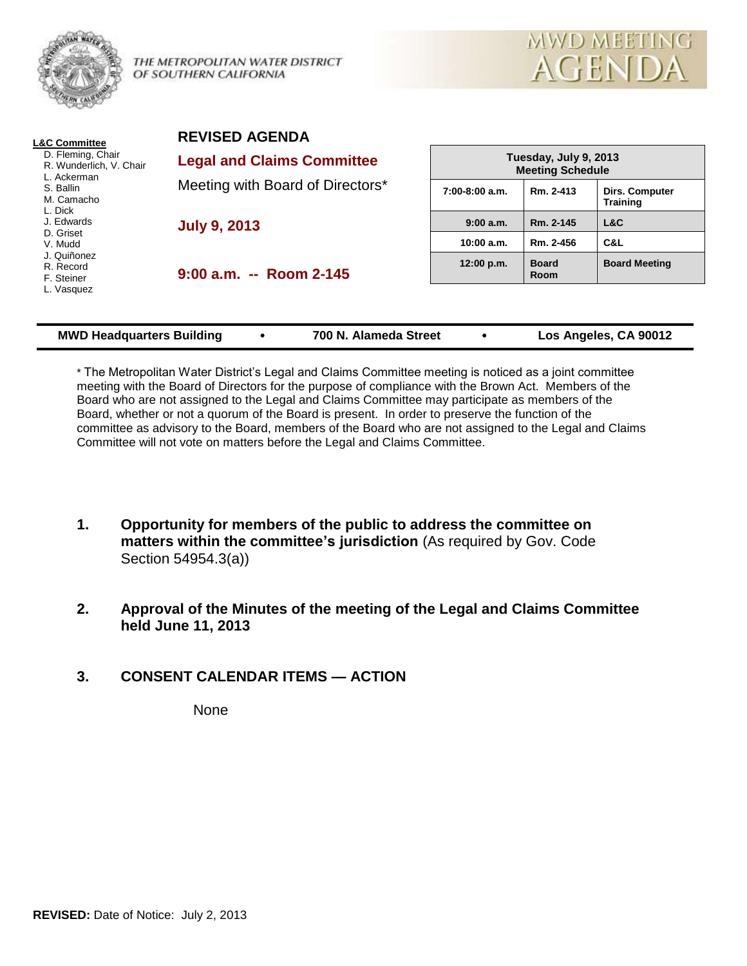

THE METROPOLITAN WATER DISTRICT OF SOUTHERN CALIFORNIA



| <b>L&amp;C Committee</b>                                                                                                                                                                        | <b>REVISED AGENDA</b>                                                 |                                                  |                             |                                   |
|-------------------------------------------------------------------------------------------------------------------------------------------------------------------------------------------------|-----------------------------------------------------------------------|--------------------------------------------------|-----------------------------|-----------------------------------|
| D. Fleming, Chair<br>R. Wunderlich, V. Chair<br>L. Ackerman<br>S. Ballin<br>M. Camacho<br>L. Dick<br>J. Edwards<br>D. Griset<br>V. Mudd<br>J. Quiñonez<br>R. Record<br>F. Steiner<br>L. Vasquez | <b>Legal and Claims Committee</b><br>Meeting with Board of Directors* | Tuesday, July 9, 2013<br><b>Meeting Schedule</b> |                             |                                   |
|                                                                                                                                                                                                 |                                                                       | 7:00-8:00 a.m.                                   | Rm. 2-413                   | Dirs. Computer<br><b>Training</b> |
|                                                                                                                                                                                                 | <b>July 9, 2013</b>                                                   | 9:00 a.m.                                        | Rm. 2-145                   | L&C                               |
|                                                                                                                                                                                                 |                                                                       | 10:00 a.m.                                       | Rm. 2-456                   | C&L                               |
|                                                                                                                                                                                                 | $9:00$ a.m. $-$ Room 2-145                                            | 12:00 p.m.                                       | <b>Board</b><br><b>Room</b> | <b>Board Meeting</b>              |
|                                                                                                                                                                                                 |                                                                       |                                                  |                             |                                   |
|                                                                                                                                                                                                 |                                                                       |                                                  |                             |                                   |

| <b>MWD Headquarters Building</b> |  | 700 N. Alameda Street |  | Los Angeles, CA 90012 |
|----------------------------------|--|-----------------------|--|-----------------------|
|----------------------------------|--|-----------------------|--|-----------------------|

\* The Metropolitan Water District's Legal and Claims Committee meeting is noticed as a joint committee meeting with the Board of Directors for the purpose of compliance with the Brown Act. Members of the Board who are not assigned to the Legal and Claims Committee may participate as members of the Board, whether or not a quorum of the Board is present. In order to preserve the function of the committee as advisory to the Board, members of the Board who are not assigned to the Legal and Claims Committee will not vote on matters before the Legal and Claims Committee.

- **1. Opportunity for members of the public to address the committee on matters within the committee's jurisdiction** (As required by Gov. Code Section 54954.3(a))
- **2. Approval of the Minutes of the meeting of the Legal and Claims Committee held June 11, 2013**
- **3. CONSENT CALENDAR ITEMS — ACTION**

None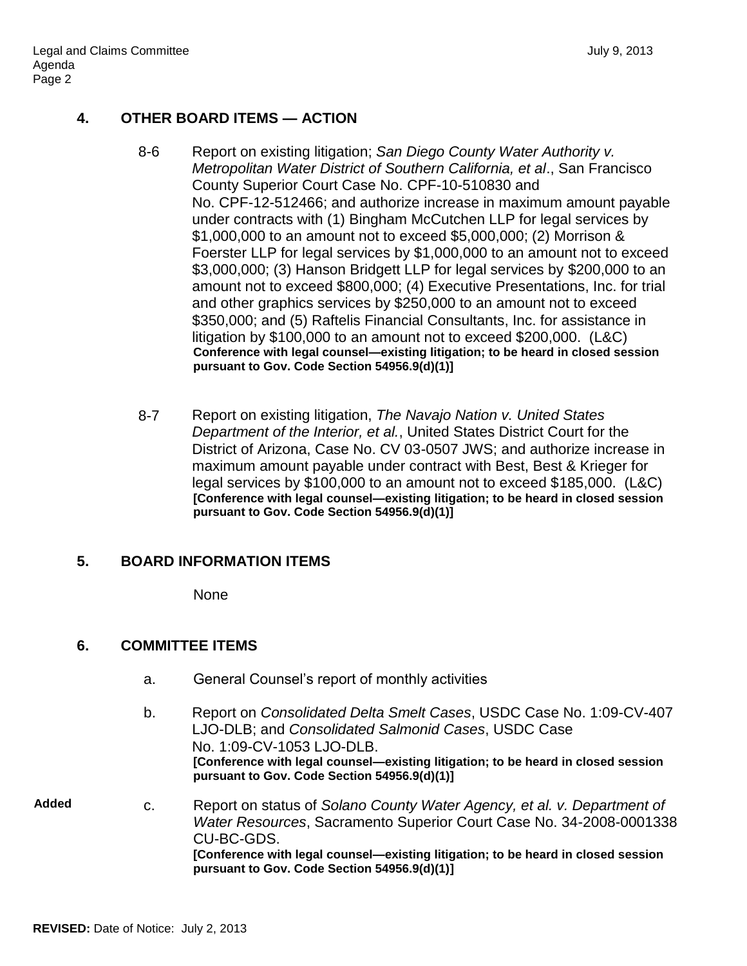# **4. OTHER BOARD ITEMS — ACTION**

- 8-6 Report on existing litigation; *San Diego County Water Authority v. Metropolitan Water District of Southern California, et al*., San Francisco County Superior Court Case No. CPF-10-510830 and No. CPF-12-512466; and authorize increase in maximum amount payable under contracts with (1) Bingham McCutchen LLP for legal services by \$1,000,000 to an amount not to exceed \$5,000,000; (2) Morrison & Foerster LLP for legal services by \$1,000,000 to an amount not to exceed \$3,000,000; (3) Hanson Bridgett LLP for legal services by \$200,000 to an amount not to exceed \$800,000; (4) Executive Presentations, Inc. for trial and other graphics services by \$250,000 to an amount not to exceed \$350,000; and (5) Raftelis Financial Consultants, Inc. for assistance in litigation by \$100,000 to an amount not to exceed \$200,000. (L&C) **Conference with legal counsel—existing litigation; to be heard in closed session pursuant to Gov. Code Section 54956.9(d)(1)]**
- 8-7 Report on existing litigation, *The Navajo Nation v. United States Department of the Interior, et al.*, United States District Court for the District of Arizona, Case No. CV 03-0507 JWS; and authorize increase in maximum amount payable under contract with Best, Best & Krieger for legal services by \$100,000 to an amount not to exceed \$185,000. (L&C) **[Conference with legal counsel—existing litigation; to be heard in closed session pursuant to Gov. Code Section 54956.9(d)(1)]**

### **5. BOARD INFORMATION ITEMS**

None

# **6. COMMITTEE ITEMS**

- a. General Counsel's report of monthly activities
- b. Report on *Consolidated Delta Smelt Cases*, USDC Case No. 1:09-CV-407 LJO-DLB; and *Consolidated Salmonid Cases*, USDC Case No. 1:09-CV-1053 LJO-DLB. **[Conference with legal counsel—existing litigation; to be heard in closed session pursuant to Gov. Code Section 54956.9(d)(1)]**
- **Added** c. Report on status of *Solano County Water Agency, et al. v. Department of Water Resources*, Sacramento Superior Court Case No. 34-2008-0001338 CU-BC-GDS. **[Conference with legal counsel—existing litigation; to be heard in closed session pursuant to Gov. Code Section 54956.9(d)(1)]**